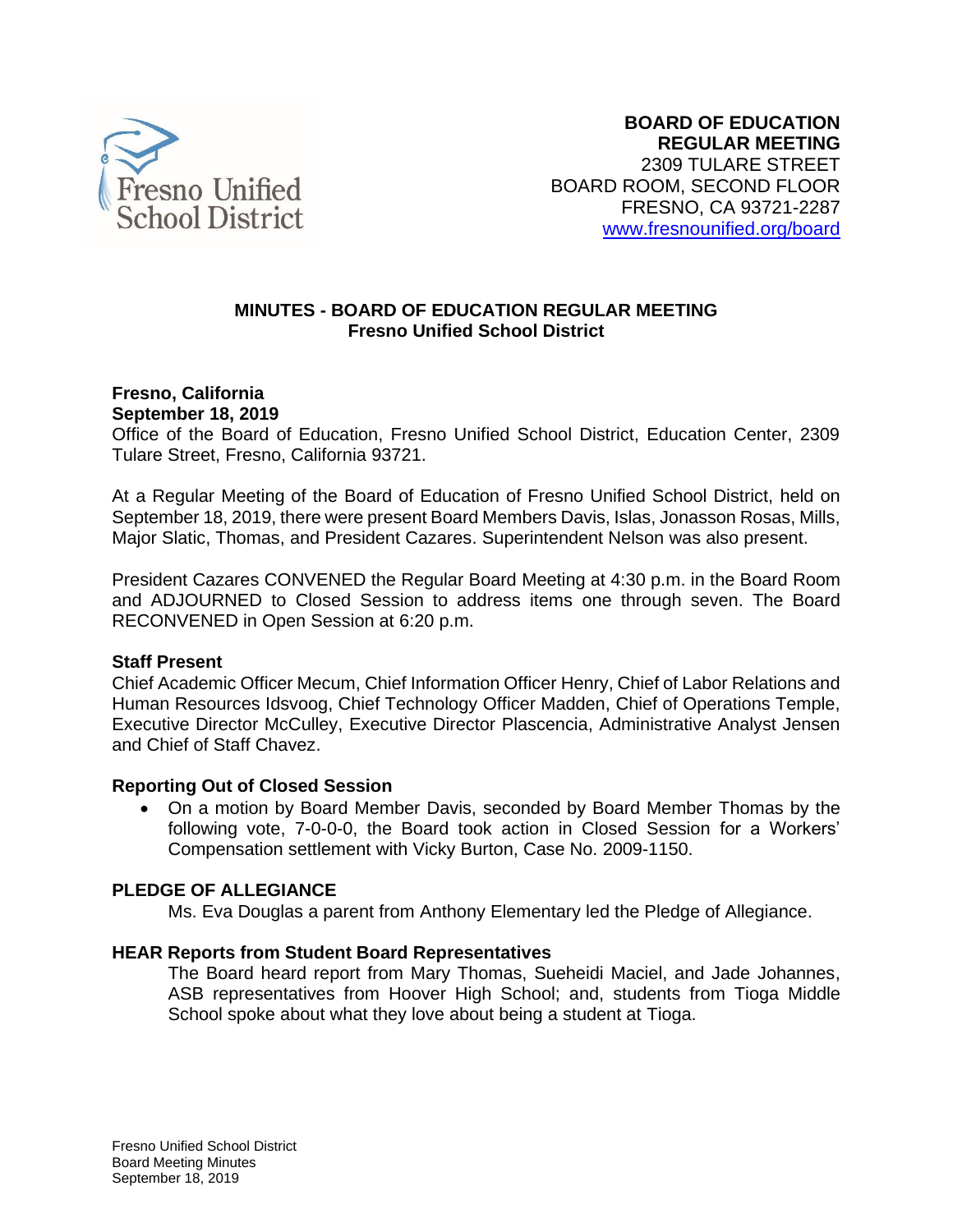

#### **MINUTES - BOARD OF EDUCATION REGULAR MEETING Fresno Unified School District**

#### **Fresno, California September 18, 2019**

Office of the Board of Education, Fresno Unified School District, Education Center, 2309 Tulare Street, Fresno, California 93721.

At a Regular Meeting of the Board of Education of Fresno Unified School District, held on September 18, 2019, there were present Board Members Davis, Islas, Jonasson Rosas, Mills, Major Slatic, Thomas, and President Cazares. Superintendent Nelson was also present.

President Cazares CONVENED the Regular Board Meeting at 4:30 p.m. in the Board Room and ADJOURNED to Closed Session to address items one through seven. The Board RECONVENED in Open Session at 6:20 p.m.

#### **Staff Present**

Chief Academic Officer Mecum, Chief Information Officer Henry, Chief of Labor Relations and Human Resources Idsvoog, Chief Technology Officer Madden, Chief of Operations Temple, Executive Director McCulley, Executive Director Plascencia, Administrative Analyst Jensen and Chief of Staff Chavez.

#### **Reporting Out of Closed Session**

• On a motion by Board Member Davis, seconded by Board Member Thomas by the following vote, 7-0-0-0, the Board took action in Closed Session for a Workers' Compensation settlement with Vicky Burton, Case No. 2009-1150.

## **PLEDGE OF ALLEGIANCE**

Ms. Eva Douglas a parent from Anthony Elementary led the Pledge of Allegiance.

#### **HEAR Reports from Student Board Representatives**

The Board heard report from Mary Thomas, Sueheidi Maciel, and Jade Johannes, ASB representatives from Hoover High School; and, students from Tioga Middle School spoke about what they love about being a student at Tioga.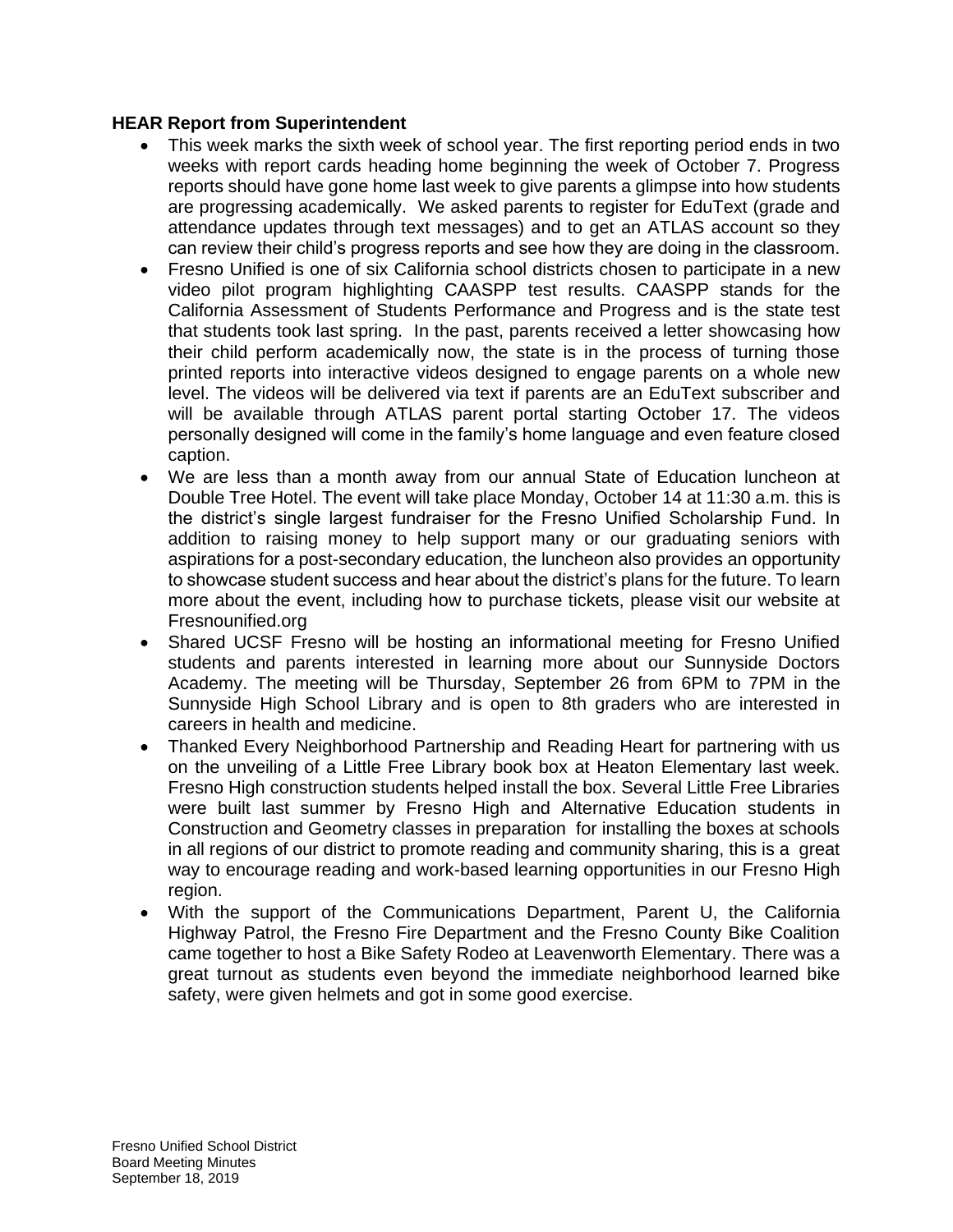#### **HEAR Report from Superintendent**

- This week marks the sixth week of school year. The first reporting period ends in two weeks with report cards heading home beginning the week of October 7. Progress reports should have gone home last week to give parents a glimpse into how students are progressing academically. We asked parents to register for EduText (grade and attendance updates through text messages) and to get an ATLAS account so they can review their child's progress reports and see how they are doing in the classroom.
- Fresno Unified is one of six California school districts chosen to participate in a new video pilot program highlighting CAASPP test results. CAASPP stands for the California Assessment of Students Performance and Progress and is the state test that students took last spring. In the past, parents received a letter showcasing how their child perform academically now, the state is in the process of turning those printed reports into interactive videos designed to engage parents on a whole new level. The videos will be delivered via text if parents are an EduText subscriber and will be available through ATLAS parent portal starting October 17. The videos personally designed will come in the family's home language and even feature closed caption.
- We are less than a month away from our annual State of Education luncheon at Double Tree Hotel. The event will take place Monday, October 14 at 11:30 a.m. this is the district's single largest fundraiser for the Fresno Unified Scholarship Fund. In addition to raising money to help support many or our graduating seniors with aspirations for a post-secondary education, the luncheon also provides an opportunity to showcase student success and hear about the district's plans for the future. To learn more about the event, including how to purchase tickets, please visit our website at Fresnounified.org
- Shared UCSF Fresno will be hosting an informational meeting for Fresno Unified students and parents interested in learning more about our Sunnyside Doctors Academy. The meeting will be Thursday, September 26 from 6PM to 7PM in the Sunnyside High School Library and is open to 8th graders who are interested in careers in health and medicine.
- Thanked Every Neighborhood Partnership and Reading Heart for partnering with us on the unveiling of a Little Free Library book box at Heaton Elementary last week. Fresno High construction students helped install the box. Several Little Free Libraries were built last summer by Fresno High and Alternative Education students in Construction and Geometry classes in preparation for installing the boxes at schools in all regions of our district to promote reading and community sharing, this is a great way to encourage reading and work-based learning opportunities in our Fresno High region.
- With the support of the Communications Department, Parent U, the California Highway Patrol, the Fresno Fire Department and the Fresno County Bike Coalition came together to host a Bike Safety Rodeo at Leavenworth Elementary. There was a great turnout as students even beyond the immediate neighborhood learned bike safety, were given helmets and got in some good exercise.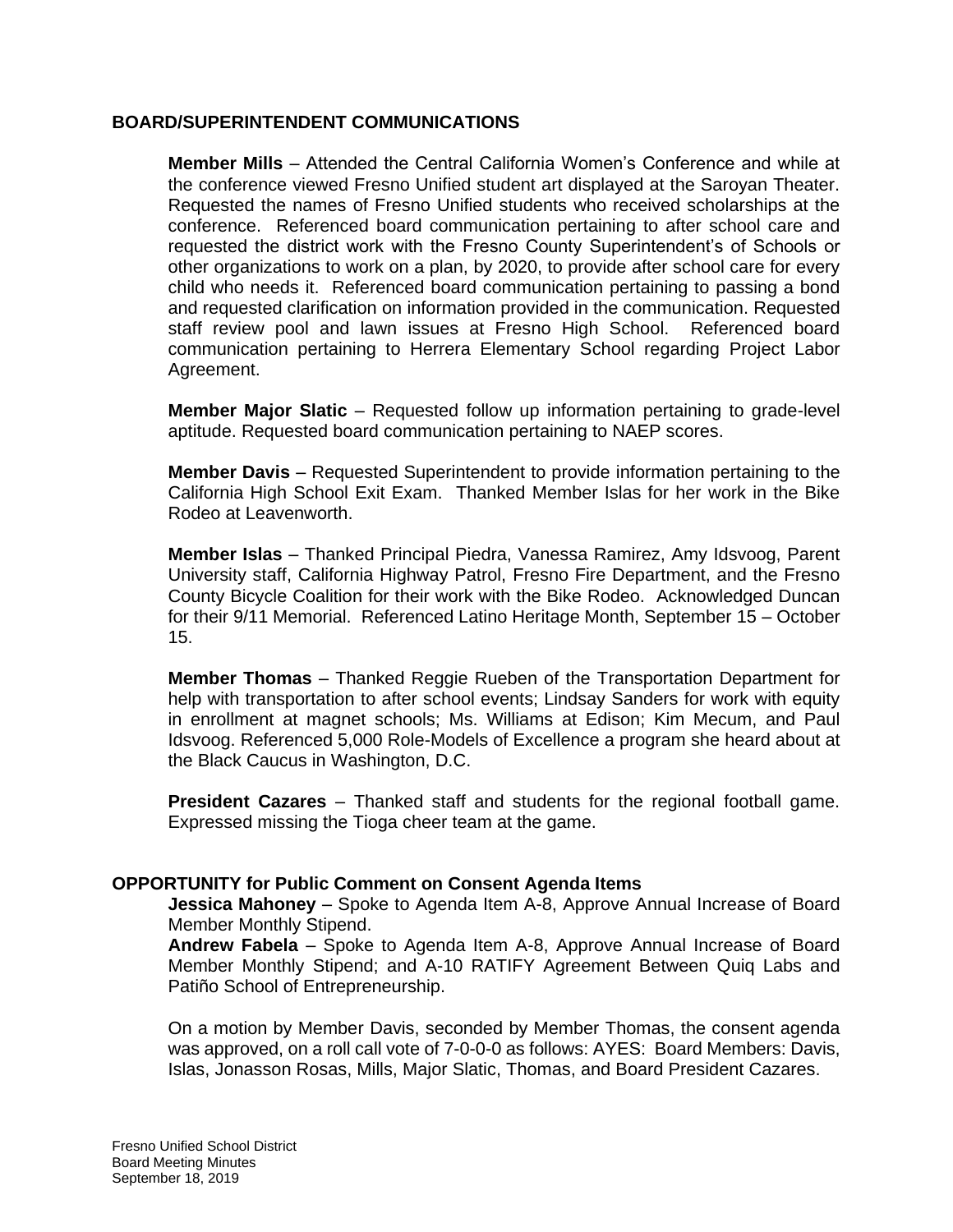#### **BOARD/SUPERINTENDENT COMMUNICATIONS**

**Member Mills** – Attended the Central California Women's Conference and while at the conference viewed Fresno Unified student art displayed at the Saroyan Theater. Requested the names of Fresno Unified students who received scholarships at the conference. Referenced board communication pertaining to after school care and requested the district work with the Fresno County Superintendent's of Schools or other organizations to work on a plan, by 2020, to provide after school care for every child who needs it. Referenced board communication pertaining to passing a bond and requested clarification on information provided in the communication. Requested staff review pool and lawn issues at Fresno High School. Referenced board communication pertaining to Herrera Elementary School regarding Project Labor Agreement.

**Member Major Slatic** – Requested follow up information pertaining to grade-level aptitude. Requested board communication pertaining to NAEP scores.

**Member Davis** – Requested Superintendent to provide information pertaining to the California High School Exit Exam. Thanked Member Islas for her work in the Bike Rodeo at Leavenworth.

**Member Islas** – Thanked Principal Piedra, Vanessa Ramirez, Amy Idsvoog, Parent University staff, California Highway Patrol, Fresno Fire Department, and the Fresno County Bicycle Coalition for their work with the Bike Rodeo. Acknowledged Duncan for their 9/11 Memorial. Referenced Latino Heritage Month, September 15 – October 15.

**Member Thomas** – Thanked Reggie Rueben of the Transportation Department for help with transportation to after school events; Lindsay Sanders for work with equity in enrollment at magnet schools; Ms. Williams at Edison; Kim Mecum, and Paul Idsvoog. Referenced 5,000 Role-Models of Excellence a program she heard about at the Black Caucus in Washington, D.C.

**President Cazares** – Thanked staff and students for the regional football game. Expressed missing the Tioga cheer team at the game.

#### **OPPORTUNITY for Public Comment on Consent Agenda Items**

**Jessica Mahoney** – Spoke to Agenda Item A-8, Approve Annual Increase of Board Member Monthly Stipend.

**Andrew Fabela** – Spoke to Agenda Item A-8, Approve Annual Increase of Board Member Monthly Stipend; and A-10 RATIFY Agreement Between Quiq Labs and Patiño School of Entrepreneurship.

On a motion by Member Davis, seconded by Member Thomas, the consent agenda was approved, on a roll call vote of 7-0-0-0 as follows: AYES: Board Members: Davis, Islas, Jonasson Rosas, Mills, Major Slatic, Thomas, and Board President Cazares.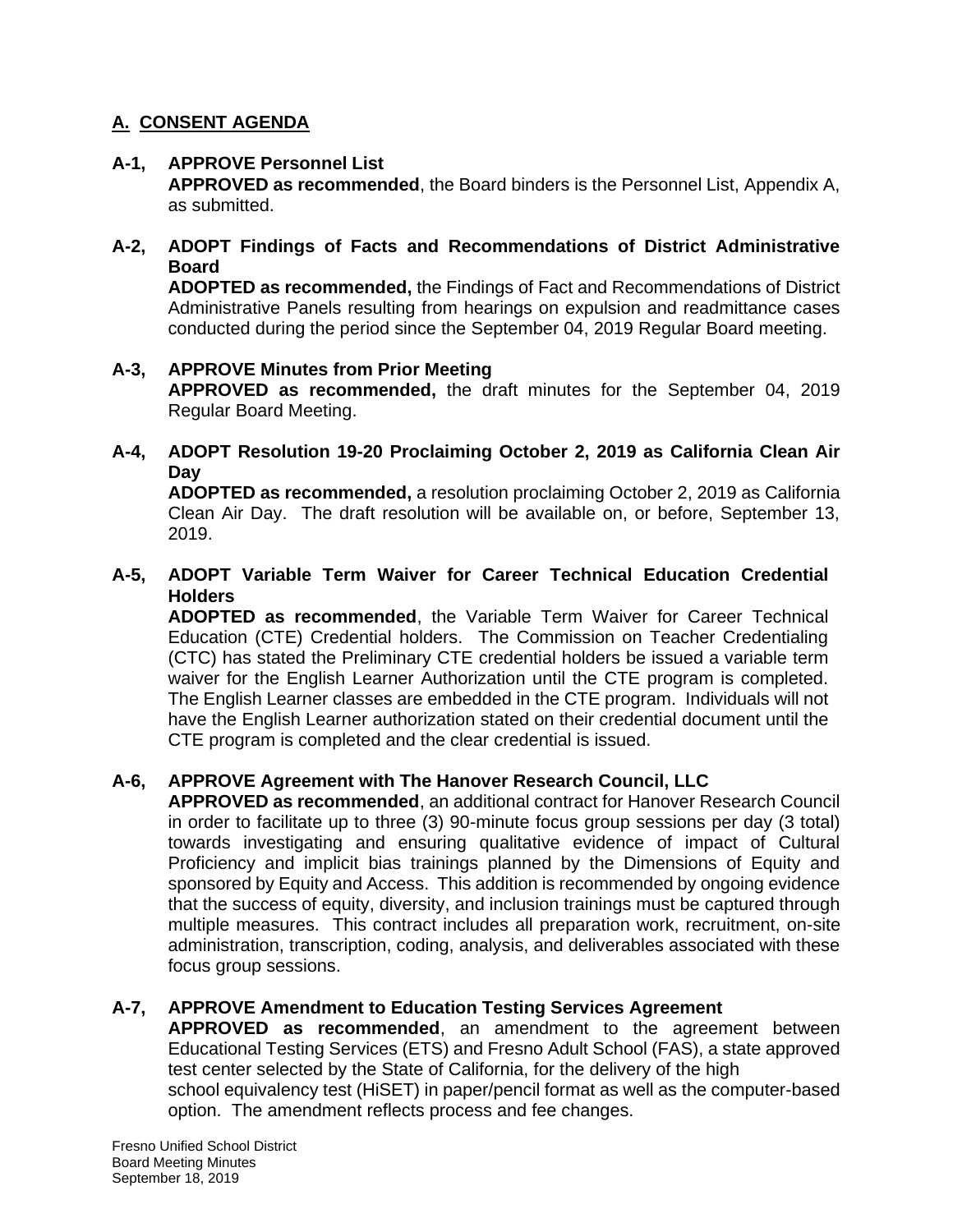# **A. CONSENT AGENDA**

## **A-1, APPROVE Personnel List**

**APPROVED as recommended**, the Board binders is the Personnel List, Appendix A, as submitted.

## **A-2, ADOPT Findings of Facts and Recommendations of District Administrative Board**

**ADOPTED as recommended,** the Findings of Fact and Recommendations of District Administrative Panels resulting from hearings on expulsion and readmittance cases conducted during the period since the September 04, 2019 Regular Board meeting.

## **A-3, APPROVE Minutes from Prior Meeting**

**APPROVED as recommended,** the draft minutes for the September 04, 2019 Regular Board Meeting.

## **A-4, ADOPT Resolution 19-20 Proclaiming October 2, 2019 as California Clean Air Day**

**ADOPTED as recommended,** a resolution proclaiming October 2, 2019 as California Clean Air Day. The draft resolution will be available on, or before, September 13, 2019.

## **A-5, ADOPT Variable Term Waiver for Career Technical Education Credential Holders**

**ADOPTED as recommended**, the Variable Term Waiver for Career Technical Education (CTE) Credential holders. The Commission on Teacher Credentialing (CTC) has stated the Preliminary CTE credential holders be issued a variable term waiver for the English Learner Authorization until the CTE program is completed. The English Learner classes are embedded in the CTE program. Individuals will not have the English Learner authorization stated on their credential document until the CTE program is completed and the clear credential is issued.

## **A-6, APPROVE Agreement with The Hanover Research Council, LLC**

**APPROVED as recommended**, an additional contract for Hanover Research Council in order to facilitate up to three (3) 90-minute focus group sessions per day (3 total) towards investigating and ensuring qualitative evidence of impact of Cultural Proficiency and implicit bias trainings planned by the Dimensions of Equity and sponsored by Equity and Access. This addition is recommended by ongoing evidence that the success of equity, diversity, and inclusion trainings must be captured through multiple measures. This contract includes all preparation work, recruitment, on-site administration, transcription, coding, analysis, and deliverables associated with these focus group sessions.

## **A-7, APPROVE Amendment to Education Testing Services Agreement**

**APPROVED as recommended**, an amendment to the agreement between Educational Testing Services (ETS) and Fresno Adult School (FAS), a state approved test center selected by the State of California, for the delivery of the high school equivalency test (HiSET) in paper/pencil format as well as the computer-based option. The amendment reflects process and fee changes.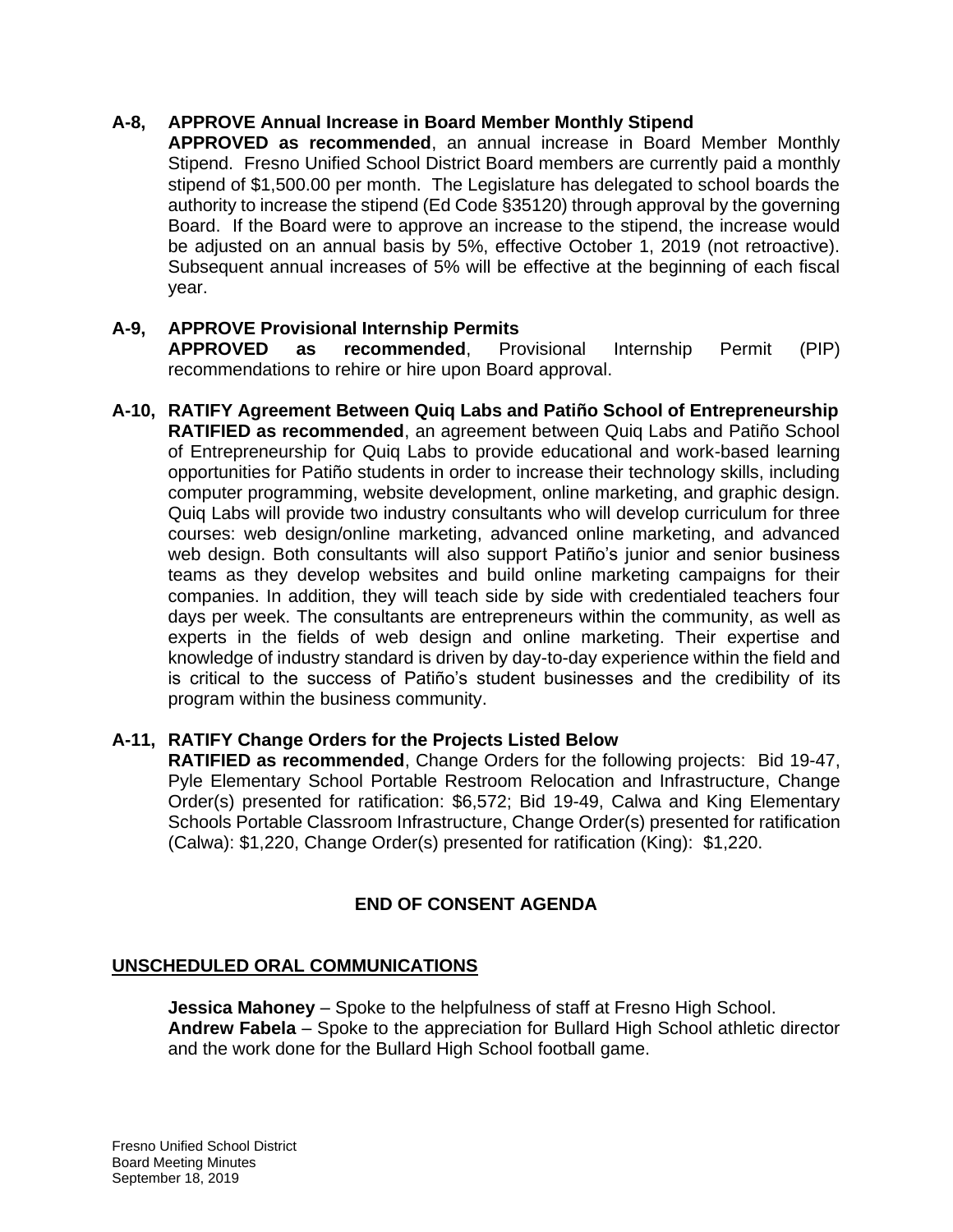## **A-8, APPROVE Annual Increase in Board Member Monthly Stipend**

**APPROVED as recommended**, an annual increase in Board Member Monthly Stipend. Fresno Unified School District Board members are currently paid a monthly stipend of \$1,500.00 per month. The Legislature has delegated to school boards the authority to increase the stipend (Ed Code §35120) through approval by the governing Board. If the Board were to approve an increase to the stipend, the increase would be adjusted on an annual basis by 5%, effective October 1, 2019 (not retroactive). Subsequent annual increases of 5% will be effective at the beginning of each fiscal year.

## **A-9, APPROVE Provisional Internship Permits**

**APPROVED as recommended**, Provisional Internship Permit (PIP) recommendations to rehire or hire upon Board approval.

**A-10, RATIFY Agreement Between Quiq Labs and Patiño School of Entrepreneurship RATIFIED as recommended**, an agreement between Quiq Labs and Patiño School of Entrepreneurship for Quiq Labs to provide educational and work-based learning opportunities for Patiño students in order to increase their technology skills, including computer programming, website development, online marketing, and graphic design. Quiq Labs will provide two industry consultants who will develop curriculum for three courses: web design/online marketing, advanced online marketing, and advanced web design. Both consultants will also support Patiño's junior and senior business teams as they develop websites and build online marketing campaigns for their companies. In addition, they will teach side by side with credentialed teachers four days per week. The consultants are entrepreneurs within the community, as well as experts in the fields of web design and online marketing. Their expertise and knowledge of industry standard is driven by day-to-day experience within the field and is critical to the success of Patiño's student businesses and the credibility of its program within the business community.

## **A-11, RATIFY Change Orders for the Projects Listed Below**

**RATIFIED as recommended**, Change Orders for the following projects: Bid 19-47, Pyle Elementary School Portable Restroom Relocation and Infrastructure, Change Order(s) presented for ratification: \$6,572; Bid 19-49, Calwa and King Elementary Schools Portable Classroom Infrastructure, Change Order(s) presented for ratification (Calwa): \$1,220, Change Order(s) presented for ratification (King): \$1,220.

# **END OF CONSENT AGENDA**

## **UNSCHEDULED ORAL COMMUNICATIONS**

**Jessica Mahoney** – Spoke to the helpfulness of staff at Fresno High School. **Andrew Fabela** – Spoke to the appreciation for Bullard High School athletic director and the work done for the Bullard High School football game.